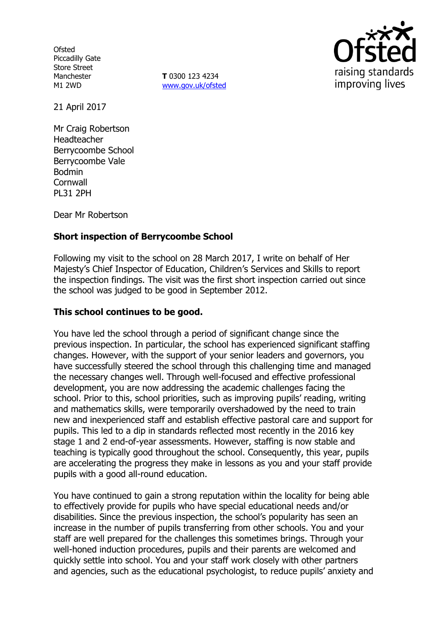**Ofsted** Piccadilly Gate Store Street Manchester M1 2WD

**T** 0300 123 4234 www.gov.uk/ofsted



21 April 2017

Mr Craig Robertson Headteacher Berrycoombe School Berrycoombe Vale Bodmin **Cornwall** PL31 2PH

Dear Mr Robertson

## **Short inspection of Berrycoombe School**

Following my visit to the school on 28 March 2017, I write on behalf of Her Majesty's Chief Inspector of Education, Children's Services and Skills to report the inspection findings. The visit was the first short inspection carried out since the school was judged to be good in September 2012.

### **This school continues to be good.**

You have led the school through a period of significant change since the previous inspection. In particular, the school has experienced significant staffing changes. However, with the support of your senior leaders and governors, you have successfully steered the school through this challenging time and managed the necessary changes well. Through well-focused and effective professional development, you are now addressing the academic challenges facing the school. Prior to this, school priorities, such as improving pupils' reading, writing and mathematics skills, were temporarily overshadowed by the need to train new and inexperienced staff and establish effective pastoral care and support for pupils. This led to a dip in standards reflected most recently in the 2016 key stage 1 and 2 end-of-year assessments. However, staffing is now stable and teaching is typically good throughout the school. Consequently, this year, pupils are accelerating the progress they make in lessons as you and your staff provide pupils with a good all-round education.

You have continued to gain a strong reputation within the locality for being able to effectively provide for pupils who have special educational needs and/or disabilities. Since the previous inspection, the school's popularity has seen an increase in the number of pupils transferring from other schools. You and your staff are well prepared for the challenges this sometimes brings. Through your well-honed induction procedures, pupils and their parents are welcomed and quickly settle into school. You and your staff work closely with other partners and agencies, such as the educational psychologist, to reduce pupils' anxiety and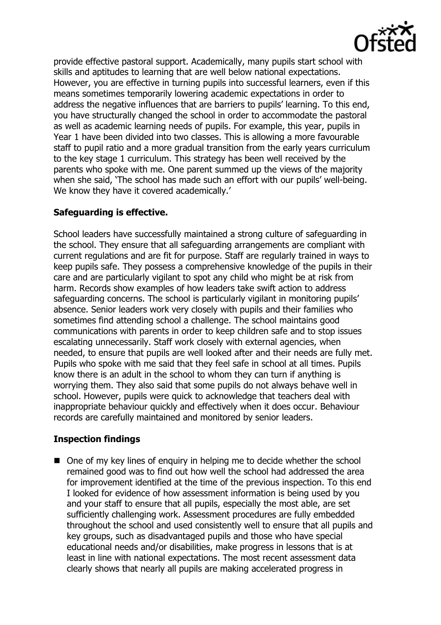

provide effective pastoral support. Academically, many pupils start school with skills and aptitudes to learning that are well below national expectations. However, you are effective in turning pupils into successful learners, even if this means sometimes temporarily lowering academic expectations in order to address the negative influences that are barriers to pupils' learning. To this end, you have structurally changed the school in order to accommodate the pastoral as well as academic learning needs of pupils. For example, this year, pupils in Year 1 have been divided into two classes. This is allowing a more favourable staff to pupil ratio and a more gradual transition from the early years curriculum to the key stage 1 curriculum. This strategy has been well received by the parents who spoke with me. One parent summed up the views of the majority when she said, 'The school has made such an effort with our pupils' well-being. We know they have it covered academically.'

## **Safeguarding is effective.**

School leaders have successfully maintained a strong culture of safeguarding in the school. They ensure that all safeguarding arrangements are compliant with current regulations and are fit for purpose. Staff are regularly trained in ways to keep pupils safe. They possess a comprehensive knowledge of the pupils in their care and are particularly vigilant to spot any child who might be at risk from harm. Records show examples of how leaders take swift action to address safeguarding concerns. The school is particularly vigilant in monitoring pupils' absence. Senior leaders work very closely with pupils and their families who sometimes find attending school a challenge. The school maintains good communications with parents in order to keep children safe and to stop issues escalating unnecessarily. Staff work closely with external agencies, when needed, to ensure that pupils are well looked after and their needs are fully met. Pupils who spoke with me said that they feel safe in school at all times. Pupils know there is an adult in the school to whom they can turn if anything is worrying them. They also said that some pupils do not always behave well in school. However, pupils were quick to acknowledge that teachers deal with inappropriate behaviour quickly and effectively when it does occur. Behaviour records are carefully maintained and monitored by senior leaders.

# **Inspection findings**

■ One of my key lines of enquiry in helping me to decide whether the school remained good was to find out how well the school had addressed the area for improvement identified at the time of the previous inspection. To this end I looked for evidence of how assessment information is being used by you and your staff to ensure that all pupils, especially the most able, are set sufficiently challenging work. Assessment procedures are fully embedded throughout the school and used consistently well to ensure that all pupils and key groups, such as disadvantaged pupils and those who have special educational needs and/or disabilities, make progress in lessons that is at least in line with national expectations. The most recent assessment data clearly shows that nearly all pupils are making accelerated progress in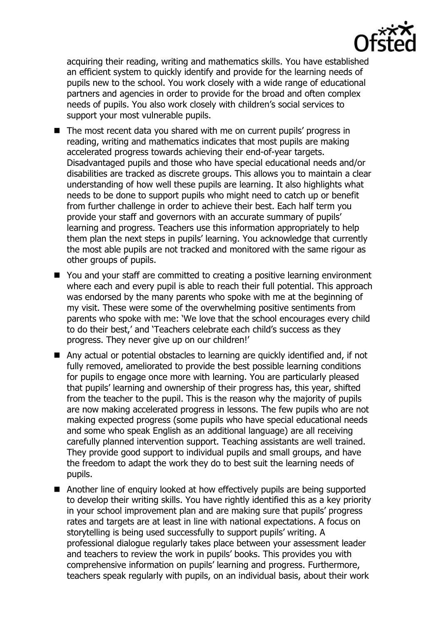

acquiring their reading, writing and mathematics skills. You have established an efficient system to quickly identify and provide for the learning needs of pupils new to the school. You work closely with a wide range of educational partners and agencies in order to provide for the broad and often complex needs of pupils. You also work closely with children's social services to support your most vulnerable pupils.

- The most recent data you shared with me on current pupils' progress in reading, writing and mathematics indicates that most pupils are making accelerated progress towards achieving their end-of-year targets. Disadvantaged pupils and those who have special educational needs and/or disabilities are tracked as discrete groups. This allows you to maintain a clear understanding of how well these pupils are learning. It also highlights what needs to be done to support pupils who might need to catch up or benefit from further challenge in order to achieve their best. Each half term you provide your staff and governors with an accurate summary of pupils' learning and progress. Teachers use this information appropriately to help them plan the next steps in pupils' learning. You acknowledge that currently the most able pupils are not tracked and monitored with the same rigour as other groups of pupils.
- You and your staff are committed to creating a positive learning environment where each and every pupil is able to reach their full potential. This approach was endorsed by the many parents who spoke with me at the beginning of my visit. These were some of the overwhelming positive sentiments from parents who spoke with me: 'We love that the school encourages every child to do their best,' and 'Teachers celebrate each child's success as they progress. They never give up on our children!'
- Any actual or potential obstacles to learning are quickly identified and, if not fully removed, ameliorated to provide the best possible learning conditions for pupils to engage once more with learning. You are particularly pleased that pupils' learning and ownership of their progress has, this year, shifted from the teacher to the pupil. This is the reason why the majority of pupils are now making accelerated progress in lessons. The few pupils who are not making expected progress (some pupils who have special educational needs and some who speak English as an additional language) are all receiving carefully planned intervention support. Teaching assistants are well trained. They provide good support to individual pupils and small groups, and have the freedom to adapt the work they do to best suit the learning needs of pupils.
- Another line of enquiry looked at how effectively pupils are being supported to develop their writing skills. You have rightly identified this as a key priority in your school improvement plan and are making sure that pupils' progress rates and targets are at least in line with national expectations. A focus on storytelling is being used successfully to support pupils' writing. A professional dialogue regularly takes place between your assessment leader and teachers to review the work in pupils' books. This provides you with comprehensive information on pupils' learning and progress. Furthermore, teachers speak regularly with pupils, on an individual basis, about their work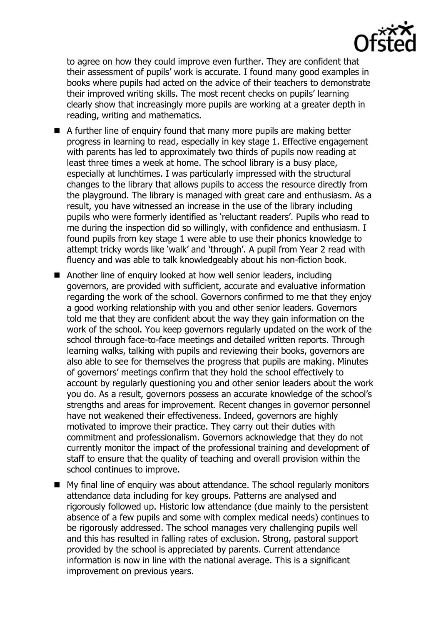

to agree on how they could improve even further. They are confident that their assessment of pupils' work is accurate. I found many good examples in books where pupils had acted on the advice of their teachers to demonstrate their improved writing skills. The most recent checks on pupils' learning clearly show that increasingly more pupils are working at a greater depth in reading, writing and mathematics.

- A further line of enquiry found that many more pupils are making better progress in learning to read, especially in key stage 1. Effective engagement with parents has led to approximately two thirds of pupils now reading at least three times a week at home. The school library is a busy place, especially at lunchtimes. I was particularly impressed with the structural changes to the library that allows pupils to access the resource directly from the playground. The library is managed with great care and enthusiasm. As a result, you have witnessed an increase in the use of the library including pupils who were formerly identified as 'reluctant readers'. Pupils who read to me during the inspection did so willingly, with confidence and enthusiasm. I found pupils from key stage 1 were able to use their phonics knowledge to attempt tricky words like 'walk' and 'through'. A pupil from Year 2 read with fluency and was able to talk knowledgeably about his non-fiction book.
- Another line of enquiry looked at how well senior leaders, including governors, are provided with sufficient, accurate and evaluative information regarding the work of the school. Governors confirmed to me that they enjoy a good working relationship with you and other senior leaders. Governors told me that they are confident about the way they gain information on the work of the school. You keep governors regularly updated on the work of the school through face-to-face meetings and detailed written reports. Through learning walks, talking with pupils and reviewing their books, governors are also able to see for themselves the progress that pupils are making. Minutes of governors' meetings confirm that they hold the school effectively to account by regularly questioning you and other senior leaders about the work you do. As a result, governors possess an accurate knowledge of the school's strengths and areas for improvement. Recent changes in governor personnel have not weakened their effectiveness. Indeed, governors are highly motivated to improve their practice. They carry out their duties with commitment and professionalism. Governors acknowledge that they do not currently monitor the impact of the professional training and development of staff to ensure that the quality of teaching and overall provision within the school continues to improve.
- My final line of enquiry was about attendance. The school regularly monitors attendance data including for key groups. Patterns are analysed and rigorously followed up. Historic low attendance (due mainly to the persistent absence of a few pupils and some with complex medical needs) continues to be rigorously addressed. The school manages very challenging pupils well and this has resulted in falling rates of exclusion. Strong, pastoral support provided by the school is appreciated by parents. Current attendance information is now in line with the national average. This is a significant improvement on previous years.